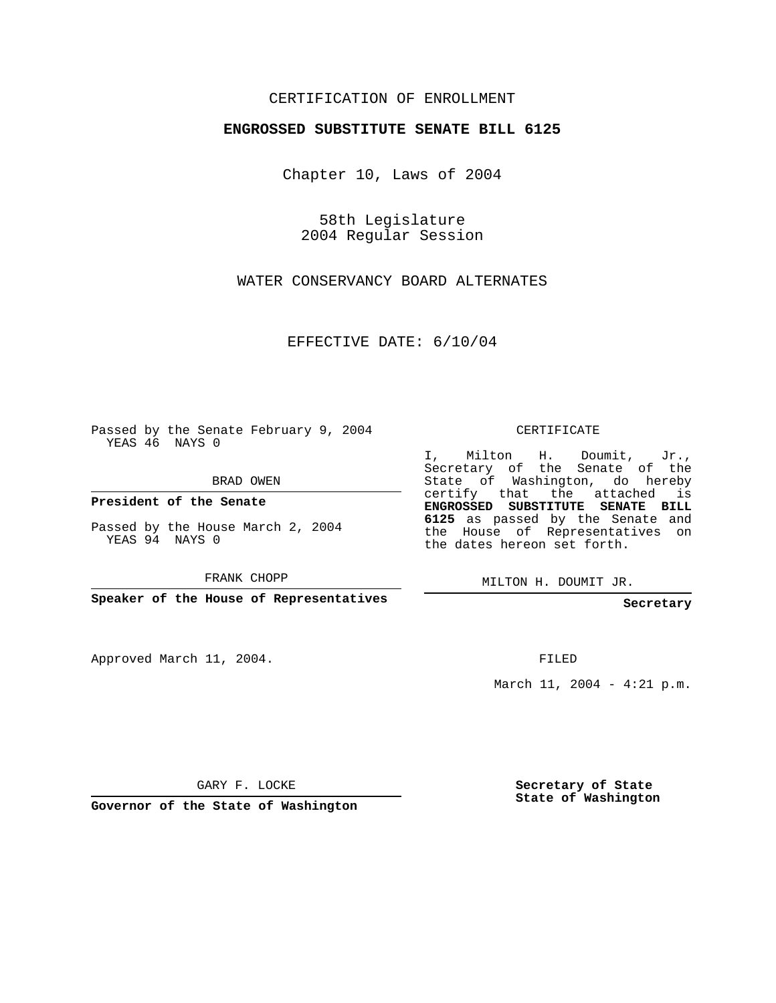## CERTIFICATION OF ENROLLMENT

## **ENGROSSED SUBSTITUTE SENATE BILL 6125**

Chapter 10, Laws of 2004

58th Legislature 2004 Regular Session

WATER CONSERVANCY BOARD ALTERNATES

EFFECTIVE DATE: 6/10/04

Passed by the Senate February 9, 2004 YEAS 46 NAYS 0

BRAD OWEN

**President of the Senate**

Passed by the House March 2, 2004 YEAS 94 NAYS 0

FRANK CHOPP

**Speaker of the House of Representatives**

Approved March 11, 2004.

CERTIFICATE

I, Milton H. Doumit, Jr., Secretary of the Senate of the State of Washington, do hereby certify that the attached is **ENGROSSED SUBSTITUTE SENATE BILL 6125** as passed by the Senate and the House of Representatives on the dates hereon set forth.

MILTON H. DOUMIT JR.

**Secretary**

FILED

March 11, 2004 - 4:21 p.m.

GARY F. LOCKE

**Governor of the State of Washington**

**Secretary of State State of Washington**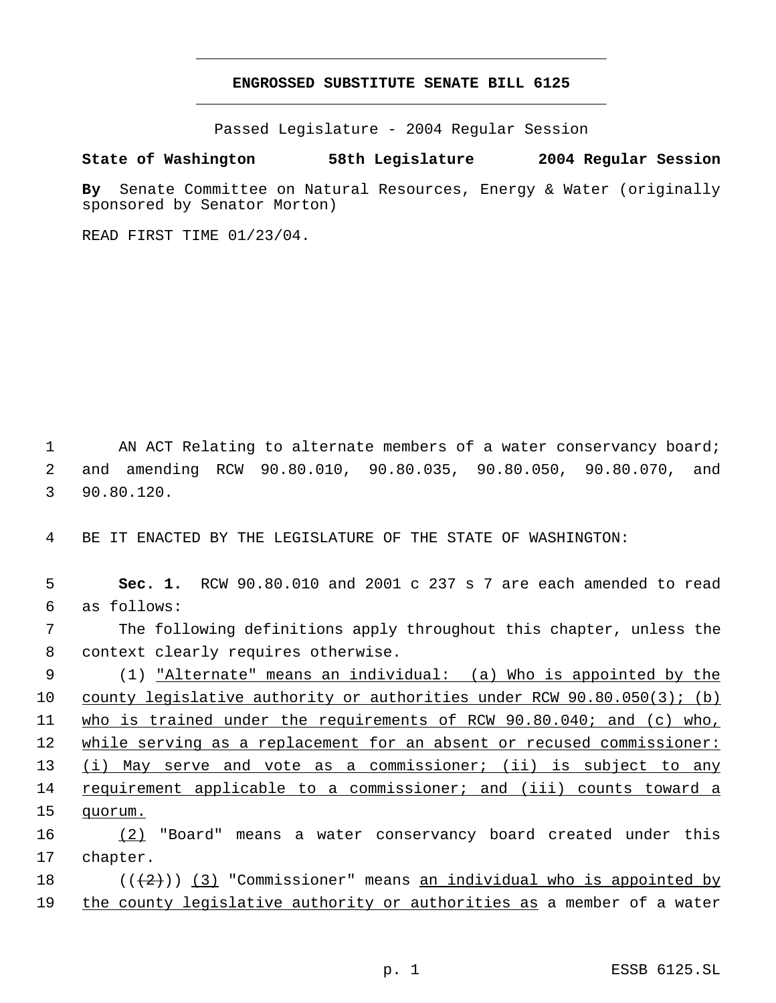## **ENGROSSED SUBSTITUTE SENATE BILL 6125** \_\_\_\_\_\_\_\_\_\_\_\_\_\_\_\_\_\_\_\_\_\_\_\_\_\_\_\_\_\_\_\_\_\_\_\_\_\_\_\_\_\_\_\_\_

\_\_\_\_\_\_\_\_\_\_\_\_\_\_\_\_\_\_\_\_\_\_\_\_\_\_\_\_\_\_\_\_\_\_\_\_\_\_\_\_\_\_\_\_\_

Passed Legislature - 2004 Regular Session

## **State of Washington 58th Legislature 2004 Regular Session**

**By** Senate Committee on Natural Resources, Energy & Water (originally sponsored by Senator Morton)

READ FIRST TIME 01/23/04.

1 AN ACT Relating to alternate members of a water conservancy board; 2 and amending RCW 90.80.010, 90.80.035, 90.80.050, 90.80.070, and 3 90.80.120.

4 BE IT ENACTED BY THE LEGISLATURE OF THE STATE OF WASHINGTON:

 **Sec. 1.** RCW 90.80.010 and 2001 c 237 s 7 are each amended to read as follows: The following definitions apply throughout this chapter, unless the context clearly requires otherwise. (1) "Alternate" means an individual: (a) Who is appointed by the county legislative authority or authorities under RCW 90.80.050(3); (b) who is trained under the requirements of RCW 90.80.040; and (c) who, 12 while serving as a replacement for an absent or recused commissioner: 13 (i) May serve and vote as a commissioner; (ii) is subject to any requirement applicable to a commissioner; and (iii) counts toward a 15 quorum. (2) "Board" means a water conservancy board created under this 17 chapter. 18 ( $(\langle 2 \rangle)$  (3) "Commissioner" means <u>an individual who is appointed by</u>

19 the county legislative authority or authorities as a member of a water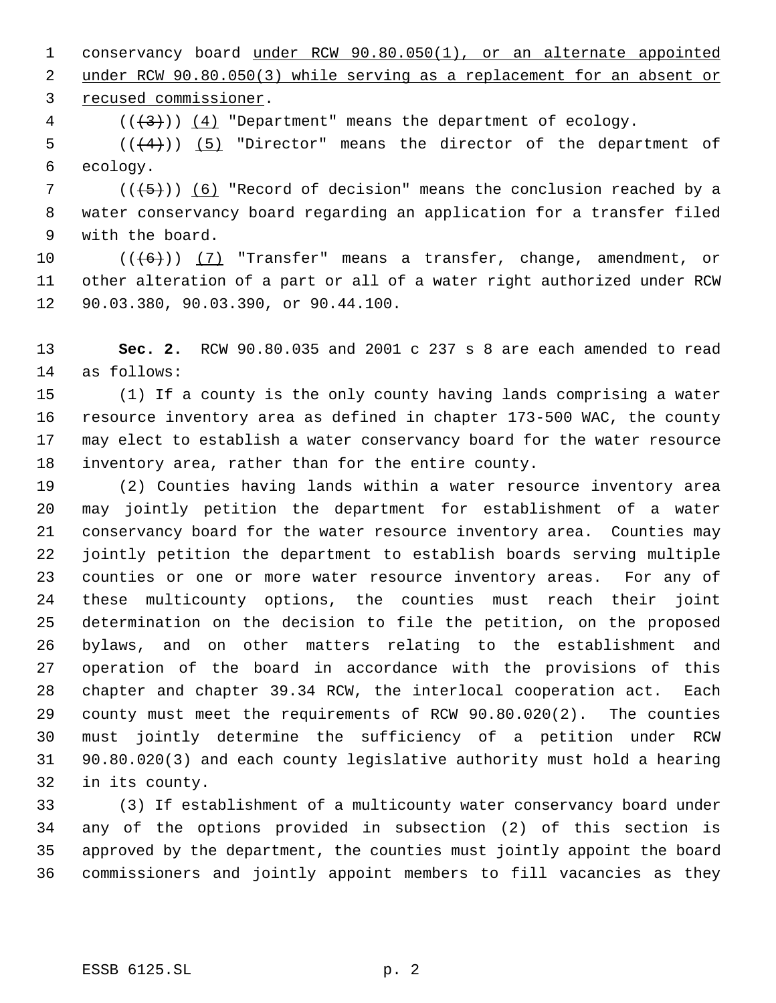conservancy board under RCW 90.80.050(1), or an alternate appointed under RCW 90.80.050(3) while serving as a replacement for an absent or recused commissioner.

( $(\frac{4}{3})$ )  $(4)$  "Department" means the department of ecology.

 $((4+))$  (5) "Director" means the director of the department of ecology.

7 ( $(\overline{5})$ ) (6) "Record of decision" means the conclusion reached by a water conservancy board regarding an application for a transfer filed with the board.

10  $((\langle 6 \rangle) )$  (7) "Transfer" means a transfer, change, amendment, or other alteration of a part or all of a water right authorized under RCW 90.03.380, 90.03.390, or 90.44.100.

 **Sec. 2.** RCW 90.80.035 and 2001 c 237 s 8 are each amended to read as follows:

 (1) If a county is the only county having lands comprising a water resource inventory area as defined in chapter 173-500 WAC, the county may elect to establish a water conservancy board for the water resource inventory area, rather than for the entire county.

 (2) Counties having lands within a water resource inventory area may jointly petition the department for establishment of a water conservancy board for the water resource inventory area. Counties may jointly petition the department to establish boards serving multiple counties or one or more water resource inventory areas. For any of these multicounty options, the counties must reach their joint determination on the decision to file the petition, on the proposed bylaws, and on other matters relating to the establishment and operation of the board in accordance with the provisions of this chapter and chapter 39.34 RCW, the interlocal cooperation act. Each county must meet the requirements of RCW 90.80.020(2). The counties must jointly determine the sufficiency of a petition under RCW 90.80.020(3) and each county legislative authority must hold a hearing in its county.

 (3) If establishment of a multicounty water conservancy board under any of the options provided in subsection (2) of this section is approved by the department, the counties must jointly appoint the board commissioners and jointly appoint members to fill vacancies as they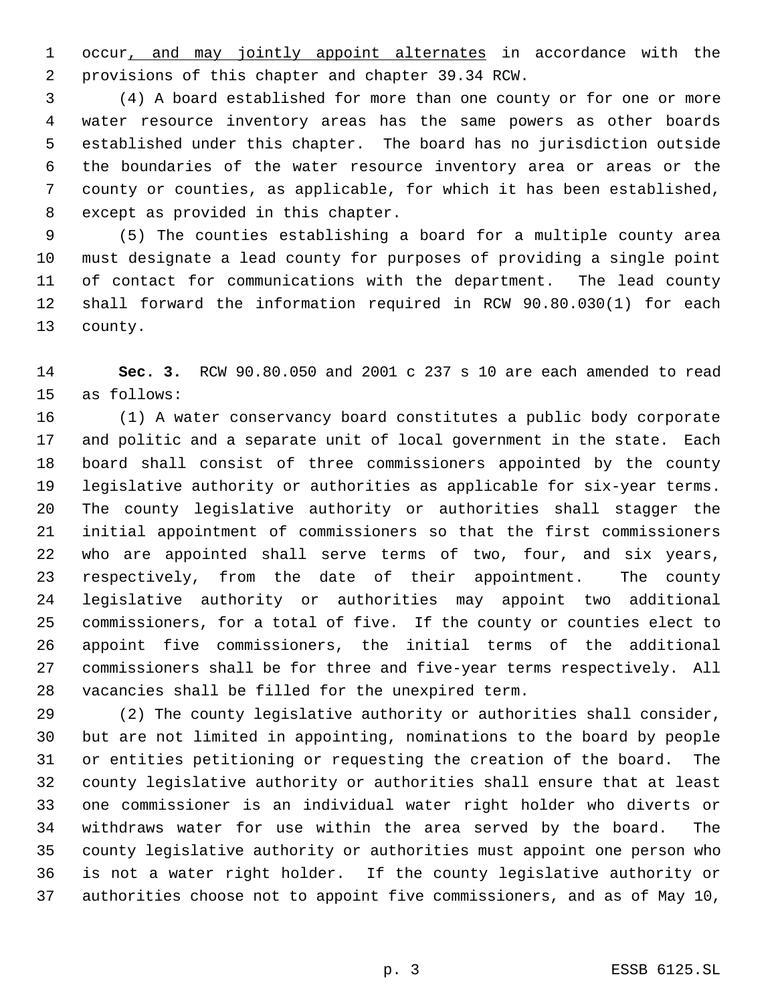1 occur, and may jointly appoint alternates in accordance with the provisions of this chapter and chapter 39.34 RCW.

 (4) A board established for more than one county or for one or more water resource inventory areas has the same powers as other boards established under this chapter. The board has no jurisdiction outside the boundaries of the water resource inventory area or areas or the county or counties, as applicable, for which it has been established, except as provided in this chapter.

 (5) The counties establishing a board for a multiple county area must designate a lead county for purposes of providing a single point of contact for communications with the department. The lead county shall forward the information required in RCW 90.80.030(1) for each county.

 **Sec. 3.** RCW 90.80.050 and 2001 c 237 s 10 are each amended to read as follows:

 (1) A water conservancy board constitutes a public body corporate and politic and a separate unit of local government in the state. Each board shall consist of three commissioners appointed by the county legislative authority or authorities as applicable for six-year terms. The county legislative authority or authorities shall stagger the initial appointment of commissioners so that the first commissioners who are appointed shall serve terms of two, four, and six years, respectively, from the date of their appointment. The county legislative authority or authorities may appoint two additional commissioners, for a total of five. If the county or counties elect to appoint five commissioners, the initial terms of the additional commissioners shall be for three and five-year terms respectively. All vacancies shall be filled for the unexpired term.

 (2) The county legislative authority or authorities shall consider, but are not limited in appointing, nominations to the board by people or entities petitioning or requesting the creation of the board. The county legislative authority or authorities shall ensure that at least one commissioner is an individual water right holder who diverts or withdraws water for use within the area served by the board. The county legislative authority or authorities must appoint one person who is not a water right holder. If the county legislative authority or authorities choose not to appoint five commissioners, and as of May 10,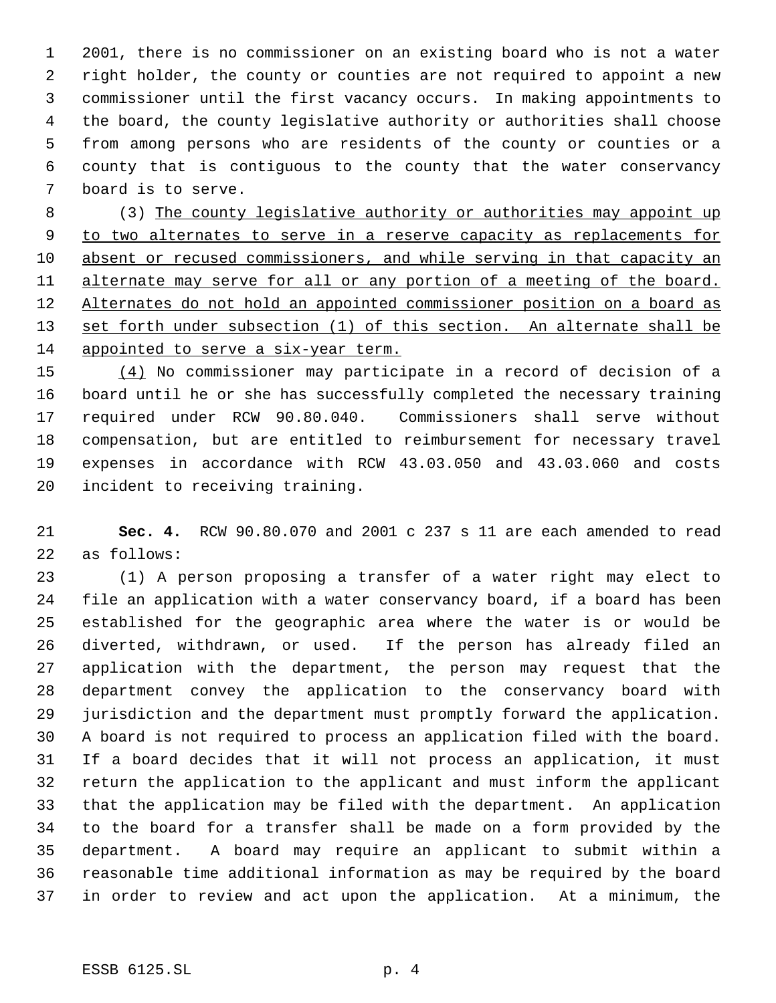2001, there is no commissioner on an existing board who is not a water right holder, the county or counties are not required to appoint a new commissioner until the first vacancy occurs. In making appointments to the board, the county legislative authority or authorities shall choose from among persons who are residents of the county or counties or a county that is contiguous to the county that the water conservancy board is to serve.

 (3) The county legislative authority or authorities may appoint up to two alternates to serve in a reserve capacity as replacements for 10 absent or recused commissioners, and while serving in that capacity an 11 alternate may serve for all or any portion of a meeting of the board. Alternates do not hold an appointed commissioner position on a board as 13 set forth under subsection (1) of this section. An alternate shall be appointed to serve a six-year term.

 (4) No commissioner may participate in a record of decision of a board until he or she has successfully completed the necessary training required under RCW 90.80.040. Commissioners shall serve without compensation, but are entitled to reimbursement for necessary travel expenses in accordance with RCW 43.03.050 and 43.03.060 and costs incident to receiving training.

 **Sec. 4.** RCW 90.80.070 and 2001 c 237 s 11 are each amended to read as follows:

 (1) A person proposing a transfer of a water right may elect to file an application with a water conservancy board, if a board has been established for the geographic area where the water is or would be diverted, withdrawn, or used. If the person has already filed an application with the department, the person may request that the department convey the application to the conservancy board with jurisdiction and the department must promptly forward the application. A board is not required to process an application filed with the board. If a board decides that it will not process an application, it must return the application to the applicant and must inform the applicant that the application may be filed with the department. An application to the board for a transfer shall be made on a form provided by the department. A board may require an applicant to submit within a reasonable time additional information as may be required by the board in order to review and act upon the application. At a minimum, the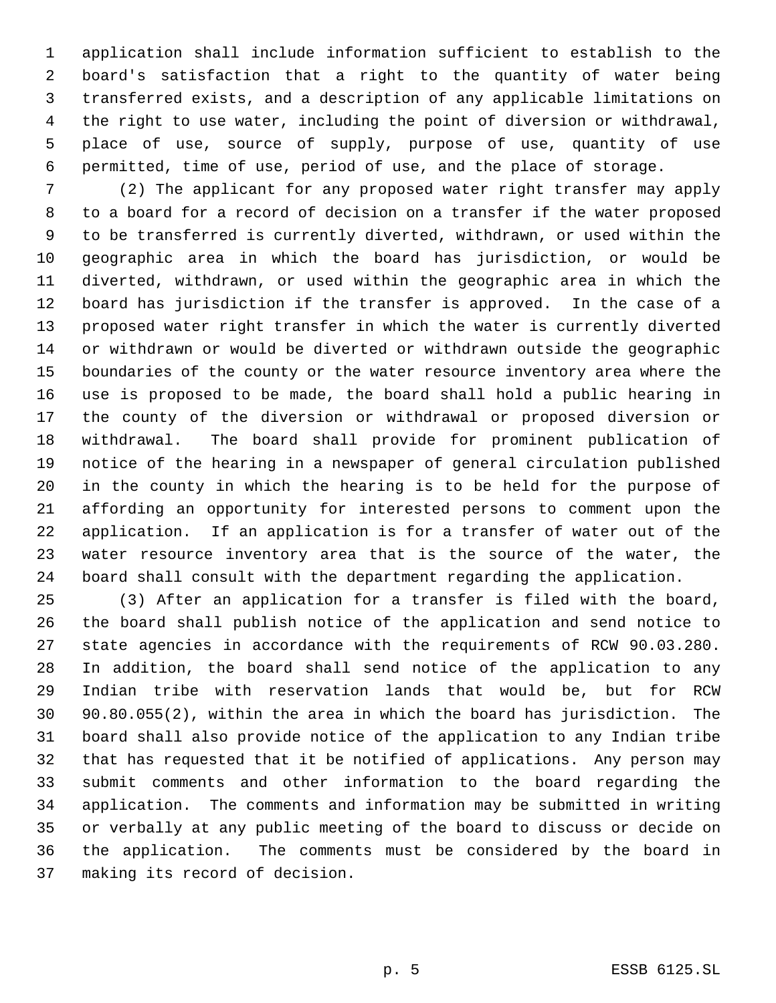application shall include information sufficient to establish to the board's satisfaction that a right to the quantity of water being transferred exists, and a description of any applicable limitations on the right to use water, including the point of diversion or withdrawal, place of use, source of supply, purpose of use, quantity of use permitted, time of use, period of use, and the place of storage.

 (2) The applicant for any proposed water right transfer may apply to a board for a record of decision on a transfer if the water proposed to be transferred is currently diverted, withdrawn, or used within the geographic area in which the board has jurisdiction, or would be diverted, withdrawn, or used within the geographic area in which the board has jurisdiction if the transfer is approved. In the case of a proposed water right transfer in which the water is currently diverted or withdrawn or would be diverted or withdrawn outside the geographic boundaries of the county or the water resource inventory area where the use is proposed to be made, the board shall hold a public hearing in the county of the diversion or withdrawal or proposed diversion or withdrawal. The board shall provide for prominent publication of notice of the hearing in a newspaper of general circulation published in the county in which the hearing is to be held for the purpose of affording an opportunity for interested persons to comment upon the application. If an application is for a transfer of water out of the water resource inventory area that is the source of the water, the board shall consult with the department regarding the application.

 (3) After an application for a transfer is filed with the board, the board shall publish notice of the application and send notice to state agencies in accordance with the requirements of RCW 90.03.280. In addition, the board shall send notice of the application to any Indian tribe with reservation lands that would be, but for RCW 90.80.055(2), within the area in which the board has jurisdiction. The board shall also provide notice of the application to any Indian tribe that has requested that it be notified of applications. Any person may submit comments and other information to the board regarding the application. The comments and information may be submitted in writing or verbally at any public meeting of the board to discuss or decide on the application. The comments must be considered by the board in making its record of decision.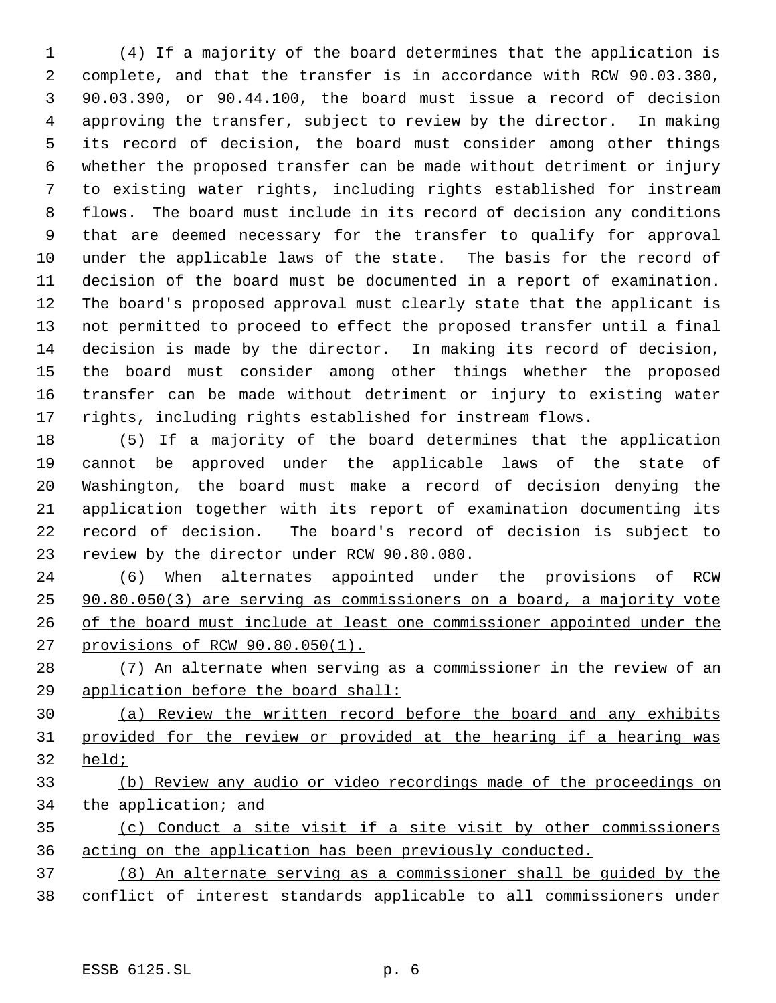(4) If a majority of the board determines that the application is complete, and that the transfer is in accordance with RCW 90.03.380, 90.03.390, or 90.44.100, the board must issue a record of decision approving the transfer, subject to review by the director. In making its record of decision, the board must consider among other things whether the proposed transfer can be made without detriment or injury to existing water rights, including rights established for instream flows. The board must include in its record of decision any conditions that are deemed necessary for the transfer to qualify for approval under the applicable laws of the state. The basis for the record of decision of the board must be documented in a report of examination. The board's proposed approval must clearly state that the applicant is not permitted to proceed to effect the proposed transfer until a final decision is made by the director. In making its record of decision, the board must consider among other things whether the proposed transfer can be made without detriment or injury to existing water rights, including rights established for instream flows.

 (5) If a majority of the board determines that the application cannot be approved under the applicable laws of the state of Washington, the board must make a record of decision denying the application together with its report of examination documenting its record of decision. The board's record of decision is subject to review by the director under RCW 90.80.080.

 (6) When alternates appointed under the provisions of RCW 90.80.050(3) are serving as commissioners on a board, a majority vote of the board must include at least one commissioner appointed under the provisions of RCW 90.80.050(1).

 (7) An alternate when serving as a commissioner in the review of an application before the board shall:

 (a) Review the written record before the board and any exhibits provided for the review or provided at the hearing if a hearing was held;

 (b) Review any audio or video recordings made of the proceedings on the application; and

 (c) Conduct a site visit if a site visit by other commissioners acting on the application has been previously conducted.

 (8) An alternate serving as a commissioner shall be guided by the conflict of interest standards applicable to all commissioners under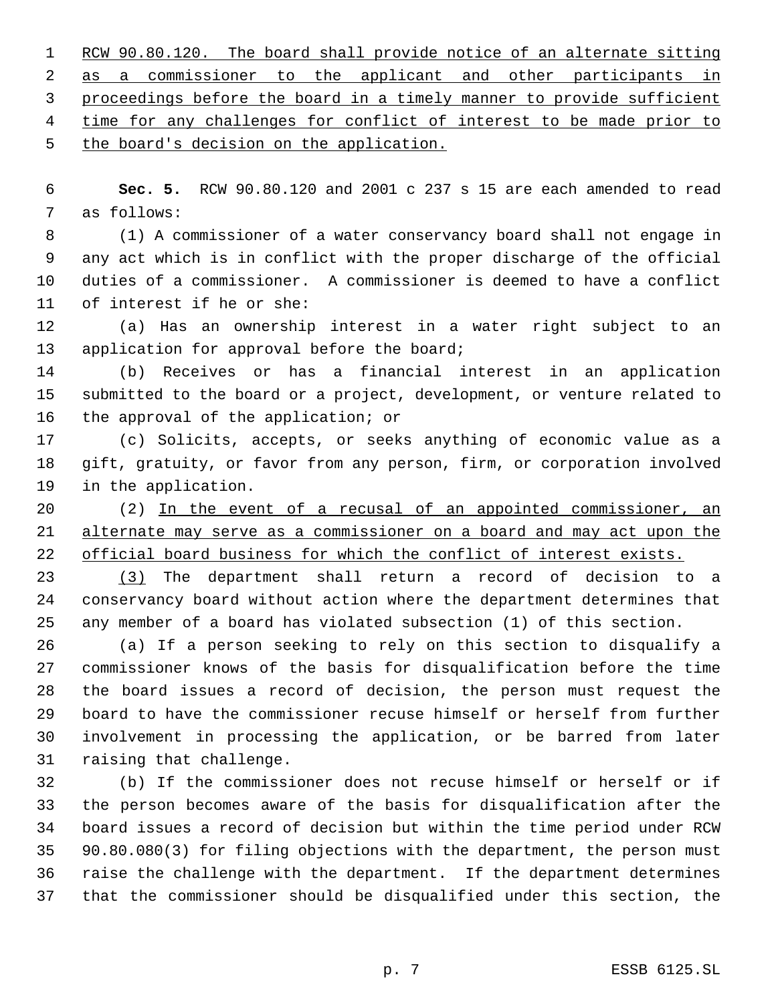1 RCW 90.80.120. The board shall provide notice of an alternate sitting 2 as a commissioner to the applicant and other participants in proceedings before the board in a timely manner to provide sufficient 4 time for any challenges for conflict of interest to be made prior to the board's decision on the application.

 **Sec. 5.** RCW 90.80.120 and 2001 c 237 s 15 are each amended to read as follows:

 (1) A commissioner of a water conservancy board shall not engage in any act which is in conflict with the proper discharge of the official duties of a commissioner. A commissioner is deemed to have a conflict of interest if he or she:

 (a) Has an ownership interest in a water right subject to an 13 application for approval before the board;

 (b) Receives or has a financial interest in an application submitted to the board or a project, development, or venture related to the approval of the application; or

 (c) Solicits, accepts, or seeks anything of economic value as a gift, gratuity, or favor from any person, firm, or corporation involved in the application.

 (2) In the event of a recusal of an appointed commissioner, an alternate may serve as a commissioner on a board and may act upon the 22 official board business for which the conflict of interest exists.

 (3) The department shall return a record of decision to a conservancy board without action where the department determines that any member of a board has violated subsection (1) of this section.

 (a) If a person seeking to rely on this section to disqualify a commissioner knows of the basis for disqualification before the time the board issues a record of decision, the person must request the board to have the commissioner recuse himself or herself from further involvement in processing the application, or be barred from later raising that challenge.

 (b) If the commissioner does not recuse himself or herself or if the person becomes aware of the basis for disqualification after the board issues a record of decision but within the time period under RCW 90.80.080(3) for filing objections with the department, the person must raise the challenge with the department. If the department determines that the commissioner should be disqualified under this section, the